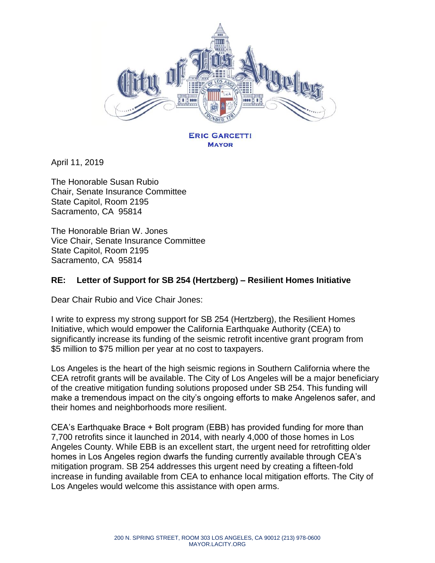

**MAYOR** 

April 11, 2019

The Honorable Susan Rubio Chair, Senate Insurance Committee State Capitol, Room 2195 Sacramento, CA 95814

The Honorable Brian W. Jones Vice Chair, Senate Insurance Committee State Capitol, Room 2195 Sacramento, CA 95814

## **RE: Letter of Support for SB 254 (Hertzberg) – Resilient Homes Initiative**

Dear Chair Rubio and Vice Chair Jones:

I write to express my strong support for SB 254 (Hertzberg), the Resilient Homes Initiative, which would empower the California Earthquake Authority (CEA) to significantly increase its funding of the seismic retrofit incentive grant program from \$5 million to \$75 million per year at no cost to taxpayers.

Los Angeles is the heart of the high seismic regions in Southern California where the CEA retrofit grants will be available. The City of Los Angeles will be a major beneficiary of the creative mitigation funding solutions proposed under SB 254. This funding will make a tremendous impact on the city's ongoing efforts to make Angelenos safer, and their homes and neighborhoods more resilient.

CEA's Earthquake Brace + Bolt program (EBB) has provided funding for more than 7,700 retrofits since it launched in 2014, with nearly 4,000 of those homes in Los Angeles County. While EBB is an excellent start, the urgent need for retrofitting older homes in Los Angeles region dwarfs the funding currently available through CEA's mitigation program. SB 254 addresses this urgent need by creating a fifteen-fold increase in funding available from CEA to enhance local mitigation efforts. The City of Los Angeles would welcome this assistance with open arms.